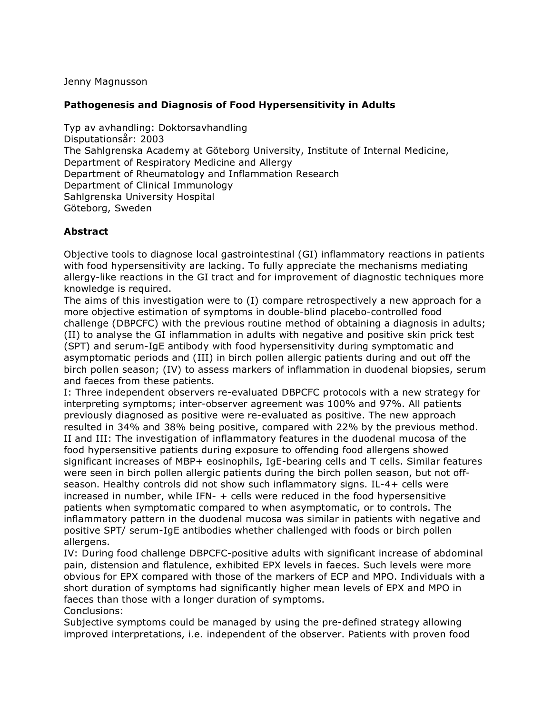Jenny Magnusson

## **Pathogenesis and Diagnosis of Food Hypersensitivity in Adults**

Typ av avhandling: Doktorsavhandling Disputationsår: 2003 The Sahlgrenska Academy at Göteborg University, Institute of Internal Medicine, Department of Respiratory Medicine and Allergy Department of Rheumatology and Inflammation Research Department of Clinical Immunology Sahlgrenska University Hospital Göteborg, Sweden

## **Abstract**

Objective tools to diagnose local gastrointestinal (GI) inflammatory reactions in patients with food hypersensitivity are lacking. To fully appreciate the mechanisms mediating allergy-like reactions in the GI tract and for improvement of diagnostic techniques more knowledge is required.

The aims of this investigation were to (I) compare retrospectively a new approach for a more objective estimation of symptoms in double-blind placebo-controlled food challenge (DBPCFC) with the previous routine method of obtaining a diagnosis in adults; (II) to analyse the GI inflammation in adults with negative and positive skin prick test (SPT) and serum-IgE antibody with food hypersensitivity during symptomatic and asymptomatic periods and (III) in birch pollen allergic patients during and out off the birch pollen season; (IV) to assess markers of inflammation in duodenal biopsies, serum and faeces from these patients.

I: Three independent observers re-evaluated DBPCFC protocols with a new strategy for interpreting symptoms; inter-observer agreement was 100% and 97%. All patients previously diagnosed as positive were re-evaluated as positive. The new approach resulted in 34% and 38% being positive, compared with 22% by the previous method. II and III: The investigation of inflammatory features in the duodenal mucosa of the food hypersensitive patients during exposure to offending food allergens showed significant increases of MBP+ eosinophils, IgE-bearing cells and T cells. Similar features were seen in birch pollen allergic patients during the birch pollen season, but not offseason. Healthy controls did not show such inflammatory signs. IL-4+ cells were increased in number, while IFN- + cells were reduced in the food hypersensitive patients when symptomatic compared to when asymptomatic, or to controls. The inflammatory pattern in the duodenal mucosa was similar in patients with negative and positive SPT/ serum-IgE antibodies whether challenged with foods or birch pollen allergens.

IV: During food challenge DBPCFC-positive adults with significant increase of abdominal pain, distension and flatulence, exhibited EPX levels in faeces. Such levels were more obvious for EPX compared with those of the markers of ECP and MPO. Individuals with a short duration of symptoms had significantly higher mean levels of EPX and MPO in faeces than those with a longer duration of symptoms. Conclusions:

Subjective symptoms could be managed by using the pre-defined strategy allowing improved interpretations, i.e. independent of the observer. Patients with proven food